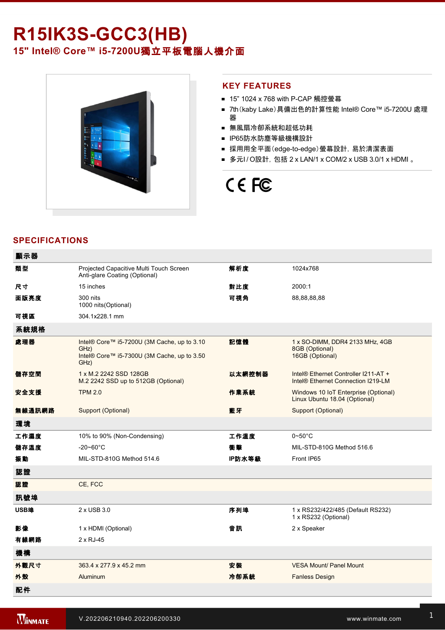# **R15IK3S-GCC3(HB)**

15" Intel® Core™ i5-7200U獨立平板電腦人機介面



### **KEY FEATURES**

- 15" 1024 x 768 with P-CAP 觸控螢幕
- 7th (kaby Lake) 具備出色的計算性能 Intel® Core™ i5-7200U 處理 器
- 無風扇冷卻系統和超低功耗
- IP65防水防塵等級機構設計
- 採用用全平面(edge-to-edge)螢幕設計, 易於清潔表面
- 多元I/O設計, 包括 2 x LAN/1 x COM/2 x USB 3.0/1 x HDMI 。

# CE FC

# **SPECIFICATIONS**

| 顯示器    |                                                                                                            |        |                                                                                        |
|--------|------------------------------------------------------------------------------------------------------------|--------|----------------------------------------------------------------------------------------|
| 類型     | Projected Capacitive Multi Touch Screen<br>Anti-glare Coating (Optional)                                   | 解析度    | 1024x768                                                                               |
| 尺寸     | 15 inches                                                                                                  | 對比度    | 2000:1                                                                                 |
| 面版亮度   | 300 nits<br>1000 nits(Optional)                                                                            | 可視角    | 88,88,88,88                                                                            |
| 可視區    | 304.1x228.1 mm                                                                                             |        |                                                                                        |
| 系統規格   |                                                                                                            |        |                                                                                        |
| 處理器    | Intel® Core™ i5-7200U (3M Cache, up to 3.10<br>GHz)<br>Intel® Core™ i5-7300U (3M Cache, up to 3.50<br>GHz) | 記憶體    | 1 x SO-DIMM, DDR4 2133 MHz, 4GB<br>8GB (Optional)<br>16GB (Optional)                   |
| 儲存空間   | 1 x M.2 2242 SSD 128GB<br>M.2 2242 SSD up to 512GB (Optional)                                              | 以太網控制器 | Intel® Ethernet Controller I211-AT +<br>Intel <sup>®</sup> Ethernet Connection I219-LM |
| 安全支援   | <b>TPM 2.0</b>                                                                                             | 作業系統   | Windows 10 IoT Enterprise (Optional)<br>Linux Ubuntu 18.04 (Optional)                  |
| 無線通訊網路 | Support (Optional)                                                                                         | 藍牙     | Support (Optional)                                                                     |
| 環境     |                                                                                                            |        |                                                                                        |
| 工作濕度   | 10% to 90% (Non-Condensing)                                                                                | 工作溫度   | $0\nthicksim50^{\circ}$ C                                                              |
| 儲存溫度   | $-20 - 60^{\circ}$ C                                                                                       | 衝撃     | MIL-STD-810G Method 516.6                                                              |
| 振動     | MIL-STD-810G Method 514.6                                                                                  | IP防水等級 | Front IP65                                                                             |
| 認證     |                                                                                                            |        |                                                                                        |
| 認證     | CE, FCC                                                                                                    |        |                                                                                        |
| 訊號埠    |                                                                                                            |        |                                                                                        |
| USB埠   | 2 x USB 3.0                                                                                                | 序列埠    | 1 x RS232/422/485 (Default RS232)<br>1 x RS232 (Optional)                              |
| 影像     | 1 x HDMI (Optional)                                                                                        | 音訊     | 2 x Speaker                                                                            |
| 有線網路   | 2 x RJ-45                                                                                                  |        |                                                                                        |
| 機構     |                                                                                                            |        |                                                                                        |
| 外觀尺寸   | 363.4 x 277.9 x 45.2 mm                                                                                    | 安装     | <b>VESA Mount/ Panel Mount</b>                                                         |
| 外殼     | <b>Aluminum</b>                                                                                            | 冷卻系統   | <b>Fanless Design</b>                                                                  |
| 配件     |                                                                                                            |        |                                                                                        |

Driver CD & User Manual